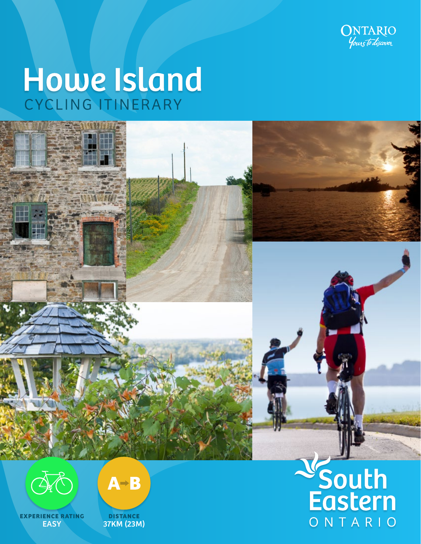

# Howe Island





**EXPERIENCE RATING EASY** 



**DISTANCE** 37KM (23M)

## National<br>Eastern ONTARIO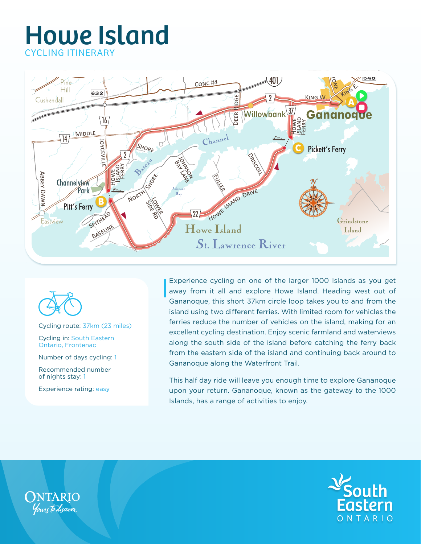



Cycling route: 37km (23 miles)

Cycling in: South Eastern Ontario, Frontenac

Number of days cycling: 1

Recommended number of nights stay: 1

Experience rating: easy

Experience cycling on one of the larger 1000 Islands as you get away from it all and explore Howe Island. Heading west out of Gananoque, this short 37km circle loop takes you to and from the island using two different ferries. With limited room for vehicles the ferries reduce the number of vehicles on the island, making for an excellent cycling destination. Enjoy scenic farmland and waterviews along the south side of the island before catching the ferry back from the eastern side of the island and continuing back around to Gananoque along the Waterfront Trail.

This half day ride will leave you enough time to explore Gananoque upon your return. Gananoque, known as the gateway to the 1000 Islands, has a range of activities to enjoy.



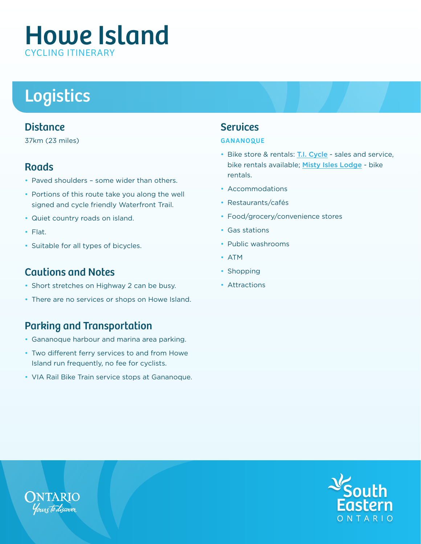## Logistics

#### **Distance**

37km (23 miles)

#### **Roads**

- Paved shoulders some wider than others.
- Portions of this route take you along the well signed and cycle friendly Waterfront Trail.
- Quiet country roads on island.
- Flat.
- Suitable for all types of bicycles.

#### Cautions and Notes

- Short stretches on Highway 2 can be busy.
- There are no services or shops on Howe Island.

#### Parking and Transportation

- Gananoque harbour and marina area parking.
- Two different ferry services to and from Howe Island run frequently, no fee for cyclists.
- VIA Rail Bike Train service stops at Gananoque.

#### Services

#### **GANANOQUE**

- Bike store & rentals: [T.I. Cycle](http://www.ti-cycle.com/) sales and service, bike rentals available; [Misty Isles Lodge](http://www.mistyisles.ca/cycling.html) - bike rentals.
- Accommodations
- Restaurants/cafés
- Food/grocery/convenience stores
- Gas stations
- Public washrooms
- ATM
- Shopping
- Attractions



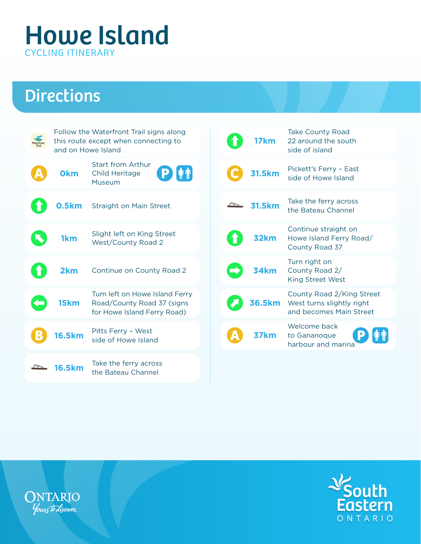## **Directions**

| Follow the Waterfront Trail signs along<br>this route except when connecting to<br>and on Howe Island |                                                                                             |
|-------------------------------------------------------------------------------------------------------|---------------------------------------------------------------------------------------------|
| <b>Okm</b>                                                                                            | <b>Start from Arthur</b><br>$\hat{\mathbf{F}}$<br>P<br><b>Child Heritage</b><br>Museum      |
|                                                                                                       | <b>0.5km</b> Straight on Main Street                                                        |
| 1km                                                                                                   | Slight left on King Street<br><b>West/County Road 2</b>                                     |
| 2km                                                                                                   | Continue on County Road 2                                                                   |
| 15km                                                                                                  | Turn left on Howe Island Ferry<br>Road/County Road 37 (signs<br>for Howe Island Ferry Road) |
| 16.5km                                                                                                | Pitts Ferry - West<br>side of Howe Island                                                   |
| 6.5km                                                                                                 | Take the ferry across<br>the Bateau Channel                                                 |

| 17km          | <b>Take County Road</b><br>22 around the south<br>side of island                  |
|---------------|-----------------------------------------------------------------------------------|
| <b>31.5km</b> | Pickett's Ferry - East<br>side of Howe Island                                     |
| <b>31.5km</b> | Take the ferry across<br>the Bateau Channel                                       |
| 32km          | Continue straight on<br>Howe Island Ferry Road/<br>County Road 37                 |
| 34km          | Turn right on<br>County Road 2/<br><b>King Street West</b>                        |
| <b>36.5km</b> | County Road 2/King Street<br>West turns slightly right<br>and becomes Main Street |
|               | Welcome back<br>to Gananoque<br>harbour and marina                                |